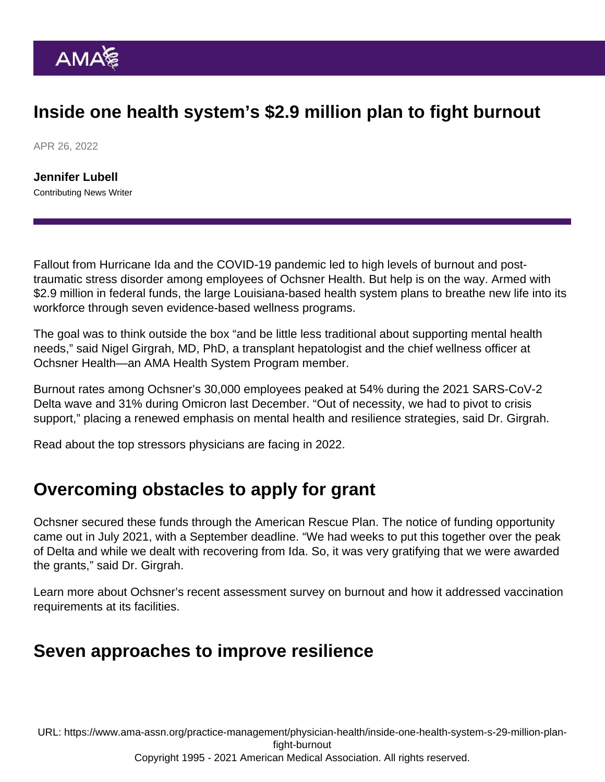## Inside one health system's \$2.9 million plan to fight burnout

APR 26, 2022

[Jennifer Lubell](https://www.ama-assn.org/news-leadership-viewpoints/authors-news-leadership-viewpoints/jennifer-lubell) Contributing News Writer

Fallout from Hurricane Ida and the COVID-19 pandemic led to high levels of burnout and posttraumatic stress disorder among employees of [Ochsner Health.](https://www.ama-assn.org/about/leadership/ochsner-health-system-spotlight) But help is on the way. Armed with [\\$2.9 million](https://news.ochsner.org/news-releases/ochsner-health-awarded-2-9m-to-build-workforce-mental-health-and-resiliency) in federal funds, the large Louisiana-based health system plans to breathe new life into its workforce through seven evidence-based wellness programs.

The goal was to think outside the box "and be little less traditional about supporting mental health needs," said [Nigel Girgrah, MD, PhD,](https://www.ama-assn.org/practice-management/physician-health/looking-upstream-answers-burnout) a transplant hepatologist and the chief wellness officer at Ochsner Health—an [AMA Health System Program](https://www.ama-assn.org/amaone/ama-health-system-program) member.

Burnout rates among Ochsner's 30,000 employees peaked at 54% during the 2021 SARS-CoV-2 Delta wave and 31% during Omicron last December. "Out of necessity, we had to pivot to crisis support," placing a renewed emphasis on mental health and resilience strategies, said Dr. Girgrah.

[Read about](https://www.ama-assn.org/practice-management/physician-health/nigel-girgrah-md-phd-well-being-and-top-stressors-physicians) the top stressors physicians are facing in 2022.

## Overcoming obstacles to apply for grant

Ochsner secured these funds through the American Rescue Plan. The notice of funding opportunity came out in July 2021, with a September deadline. "We had weeks to put this together over the peak of Delta and while we dealt with recovering from Ida. So, it was very gratifying that we were awarded the grants," said Dr. Girgrah.

Learn more about Ochsner's [recent assessment survey on burnout](https://www.ama-assn.org/practice-management/sustainability/unvaccinated-flooded-burned-out-how-ochsner-health-perseveres) and how it addressed [vaccination](https://www.ama-assn.org/delivering-care/public-health/how-2-health-systems-succeeded-vaccine-requirements) [requirements](https://www.ama-assn.org/delivering-care/public-health/how-2-health-systems-succeeded-vaccine-requirements) at its facilities.

## Seven approaches to improve resilience

URL: [https://www.ama-assn.org/practice-management/physician-health/inside-one-health-system-s-29-million-plan](https://www.ama-assn.org/practice-management/physician-health/inside-one-health-system-s-29-million-plan-fight-burnout)[fight-burnout](https://www.ama-assn.org/practice-management/physician-health/inside-one-health-system-s-29-million-plan-fight-burnout)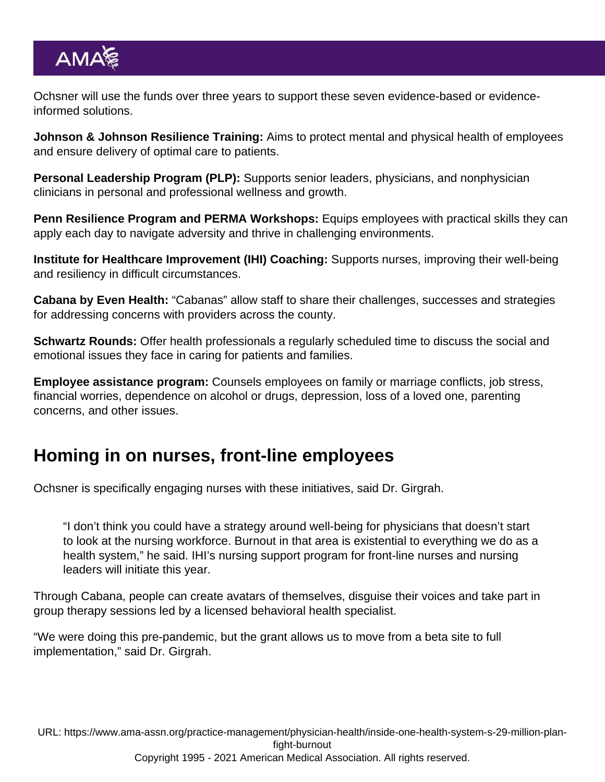Ochsner will use the funds over three years to support these seven evidence-based or evidenceinformed solutions.

Johnson & Johnson Resilience Training: Aims to protect mental and physical health of employees and ensure delivery of optimal care to patients.

Personal Leadership Program (PLP): Supports senior leaders, physicians, and nonphysician clinicians in personal and professional wellness and growth.

Penn Resilience Program and PERMA Workshops: Equips employees with practical skills they can apply each day to navigate adversity and thrive in challenging environments.

Institute for Healthcare Improvement (IHI) Coaching: Supports nurses, improving their well-being and resiliency in difficult circumstances.

Cabana by Even Health: "Cabanas" allow staff to share their challenges, successes and strategies for addressing concerns with providers across the county.

Schwartz Rounds: Offer health professionals a regularly scheduled time to discuss the social and emotional issues they face in caring for patients and families.

Employee assistance program: Counsels employees on family or marriage conflicts, job stress, financial worries, dependence on alcohol or drugs, depression, loss of a loved one, parenting concerns, and other issues.

## Homing in on nurses, front-line employees

Ochsner is specifically engaging nurses with these initiatives, said Dr. Girgrah.

"I don't think you could have a strategy around well-being for physicians that doesn't start to look at the nursing workforce. Burnout in that area is existential to everything we do as a health system," he said. IHI's nursing support program for front-line nurses and nursing leaders will initiate this year.

Through Cabana, people can create avatars of themselves, disguise their voices and take part in group therapy sessions led by a licensed behavioral health specialist.

"We were doing this pre-pandemic, but the grant allows us to move from a beta site to full implementation," said Dr. Girgrah.

URL: [https://www.ama-assn.org/practice-management/physician-health/inside-one-health-system-s-29-million-plan](https://www.ama-assn.org/practice-management/physician-health/inside-one-health-system-s-29-million-plan-fight-burnout)[fight-burnout](https://www.ama-assn.org/practice-management/physician-health/inside-one-health-system-s-29-million-plan-fight-burnout)